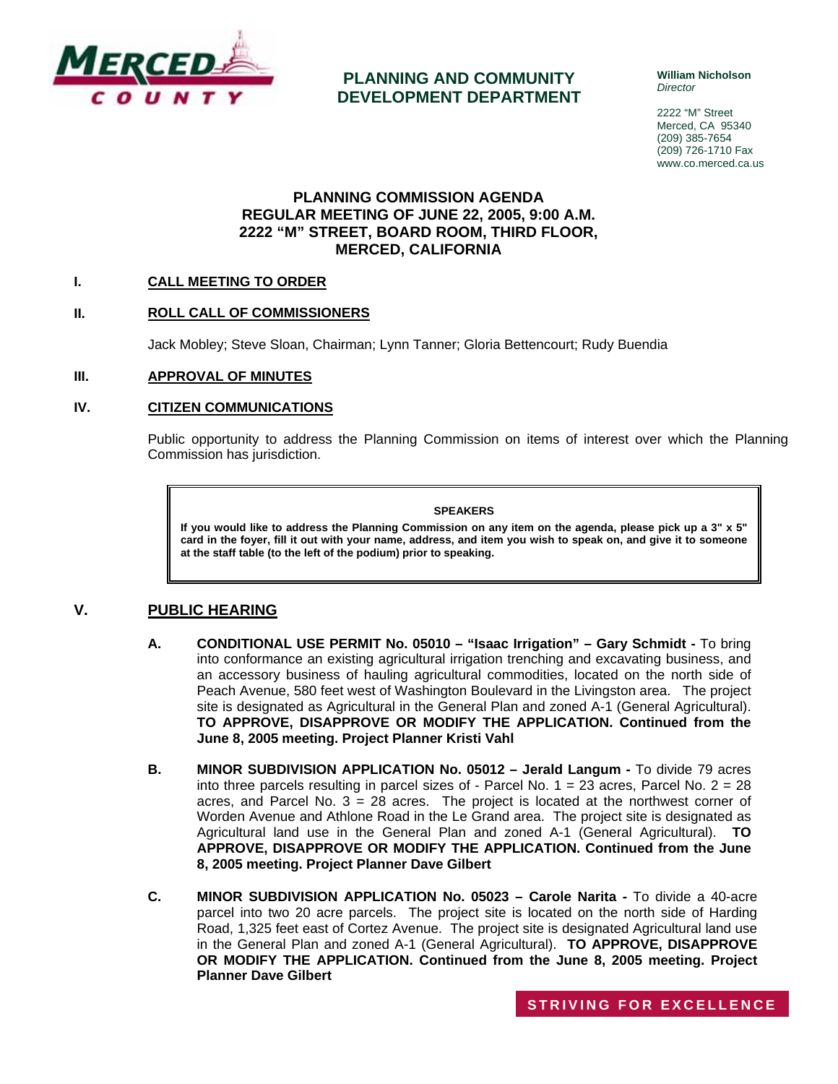

**PLANNING AND COMMUNITY DEVELOPMENT DEPARTMENT** **William Nicholson**  *Director* 

2222 "M" Street Merced, CA 95340 (209) 385-7654 (209) 726-1710 Fax www.co.merced.ca.us

# **PLANNING COMMISSION AGENDA REGULAR MEETING OF JUNE 22, 2005, 9:00 A.M. 2222 "M" STREET, BOARD ROOM, THIRD FLOOR, MERCED, CALIFORNIA**

## **I. CALL MEETING TO ORDER**

### **II. ROLL CALL OF COMMISSIONERS**

Jack Mobley; Steve Sloan, Chairman; Lynn Tanner; Gloria Bettencourt; Rudy Buendia

#### **III. APPROVAL OF MINUTES**

#### **IV. CITIZEN COMMUNICATIONS**

Public opportunity to address the Planning Commission on items of interest over which the Planning Commission has jurisdiction.

#### **SPEAKERS**

**If you would like to address the Planning Commission on any item on the agenda, please pick up a 3" x 5" card in the foyer, fill it out with your name, address, and item you wish to speak on, and give it to someone at the staff table (to the left of the podium) prior to speaking.**

# **V. PUBLIC HEARING**

- **A. CONDITIONAL USE PERMIT No. 05010 "Isaac Irrigation" Gary Schmidt** To bring into conformance an existing agricultural irrigation trenching and excavating business, and an accessory business of hauling agricultural commodities, located on the north side of Peach Avenue, 580 feet west of Washington Boulevard in the Livingston area. The project site is designated as Agricultural in the General Plan and zoned A-1 (General Agricultural). **TO APPROVE, DISAPPROVE OR MODIFY THE APPLICATION. Continued from the June 8, 2005 meeting. Project Planner Kristi Vahl**
- **B. MINOR SUBDIVISION APPLICATION No. 05012 Jerald Langum** To divide 79 acres into three parcels resulting in parcel sizes of - Parcel No.  $1 = 23$  acres, Parcel No.  $2 = 28$ acres, and Parcel No.  $3 = 28$  acres. The project is located at the northwest corner of Worden Avenue and Athlone Road in the Le Grand area. The project site is designated as Agricultural land use in the General Plan and zoned A-1 (General Agricultural). **TO APPROVE, DISAPPROVE OR MODIFY THE APPLICATION. Continued from the June 8, 2005 meeting. Project Planner Dave Gilbert**
- **C. MINOR SUBDIVISION APPLICATION No. 05023 Carole Narita -** To divide a 40-acre parcel into two 20 acre parcels. The project site is located on the north side of Harding Road, 1,325 feet east of Cortez Avenue. The project site is designated Agricultural land use in the General Plan and zoned A-1 (General Agricultural). **TO APPROVE, DISAPPROVE OR MODIFY THE APPLICATION. Continued from the June 8, 2005 meeting. Project Planner Dave Gilbert**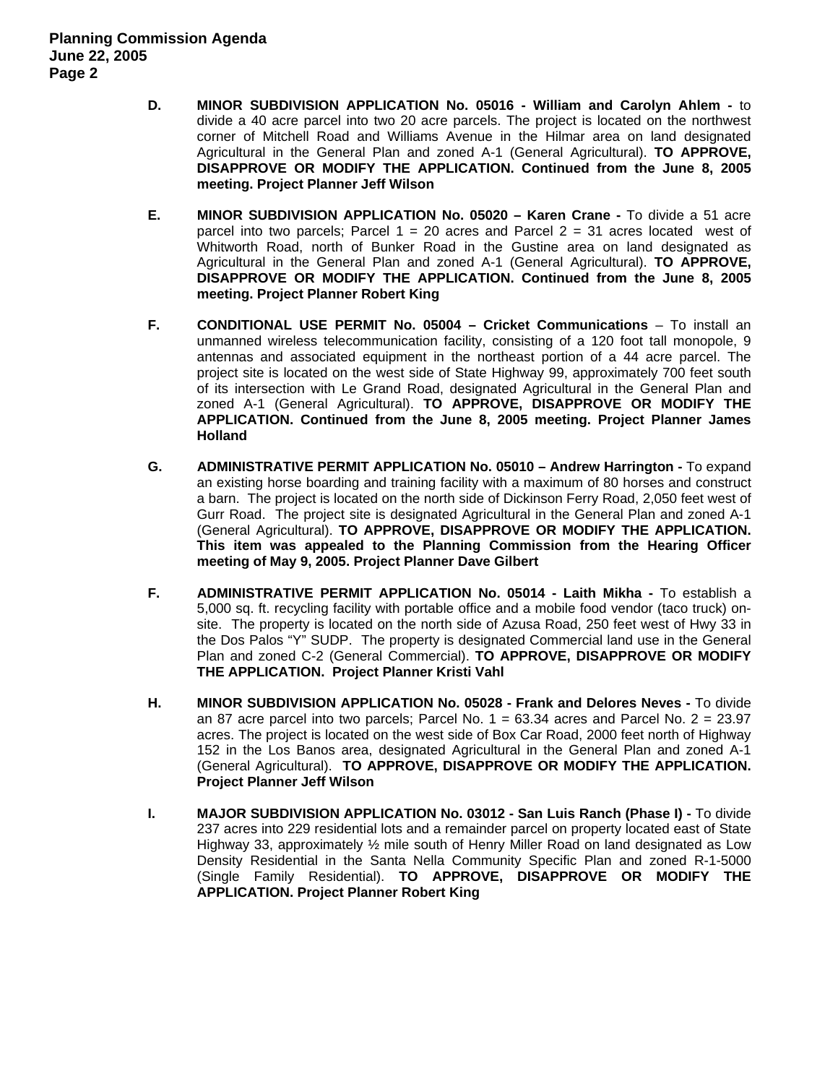- **D. MINOR SUBDIVISION APPLICATION No. 05016 William and Carolyn Ahlem** to divide a 40 acre parcel into two 20 acre parcels. The project is located on the northwest corner of Mitchell Road and Williams Avenue in the Hilmar area on land designated Agricultural in the General Plan and zoned A-1 (General Agricultural). **TO APPROVE, DISAPPROVE OR MODIFY THE APPLICATION. Continued from the June 8, 2005 meeting. Project Planner Jeff Wilson**
- **E. MINOR SUBDIVISION APPLICATION No. 05020 Karen Crane** To divide a 51 acre parcel into two parcels; Parcel  $1 = 20$  acres and Parcel  $2 = 31$  acres located west of Whitworth Road, north of Bunker Road in the Gustine area on land designated as Agricultural in the General Plan and zoned A-1 (General Agricultural). **TO APPROVE, DISAPPROVE OR MODIFY THE APPLICATION. Continued from the June 8, 2005 meeting. Project Planner Robert King**
- **F. CONDITIONAL USE PERMIT No. 05004 Cricket Communications** To install an unmanned wireless telecommunication facility, consisting of a 120 foot tall monopole, 9 antennas and associated equipment in the northeast portion of a 44 acre parcel. The project site is located on the west side of State Highway 99, approximately 700 feet south of its intersection with Le Grand Road, designated Agricultural in the General Plan and zoned A-1 (General Agricultural). **TO APPROVE, DISAPPROVE OR MODIFY THE APPLICATION. Continued from the June 8, 2005 meeting. Project Planner James Holland**
- **G. ADMINISTRATIVE PERMIT APPLICATION No. 05010 Andrew Harrington** To expand an existing horse boarding and training facility with a maximum of 80 horses and construct a barn. The project is located on the north side of Dickinson Ferry Road, 2,050 feet west of Gurr Road. The project site is designated Agricultural in the General Plan and zoned A-1 (General Agricultural). **TO APPROVE, DISAPPROVE OR MODIFY THE APPLICATION. This item was appealed to the Planning Commission from the Hearing Officer meeting of May 9, 2005. Project Planner Dave Gilbert**
- **F. ADMINISTRATIVE PERMIT APPLICATION No. 05014 Laith Mikha -** To establish a 5,000 sq. ft. recycling facility with portable office and a mobile food vendor (taco truck) onsite. The property is located on the north side of Azusa Road, 250 feet west of Hwy 33 in the Dos Palos "Y" SUDP. The property is designated Commercial land use in the General Plan and zoned C-2 (General Commercial). **TO APPROVE, DISAPPROVE OR MODIFY THE APPLICATION. Project Planner Kristi Vahl**
- **H. MINOR SUBDIVISION APPLICATION No. 05028 Frank and Delores Neves** To divide an 87 acre parcel into two parcels: Parcel No.  $1 = 63.34$  acres and Parcel No.  $2 = 23.97$ acres. The project is located on the west side of Box Car Road, 2000 feet north of Highway 152 in the Los Banos area, designated Agricultural in the General Plan and zoned A-1 (General Agricultural). **TO APPROVE, DISAPPROVE OR MODIFY THE APPLICATION. Project Planner Jeff Wilson**
- **I. MAJOR SUBDIVISION APPLICATION No. 03012 San Luis Ranch (Phase I) -** To divide 237 acres into 229 residential lots and a remainder parcel on property located east of State Highway 33, approximately ½ mile south of Henry Miller Road on land designated as Low Density Residential in the Santa Nella Community Specific Plan and zoned R-1-5000 (Single Family Residential). **TO APPROVE, DISAPPROVE OR MODIFY THE APPLICATION. Project Planner Robert King**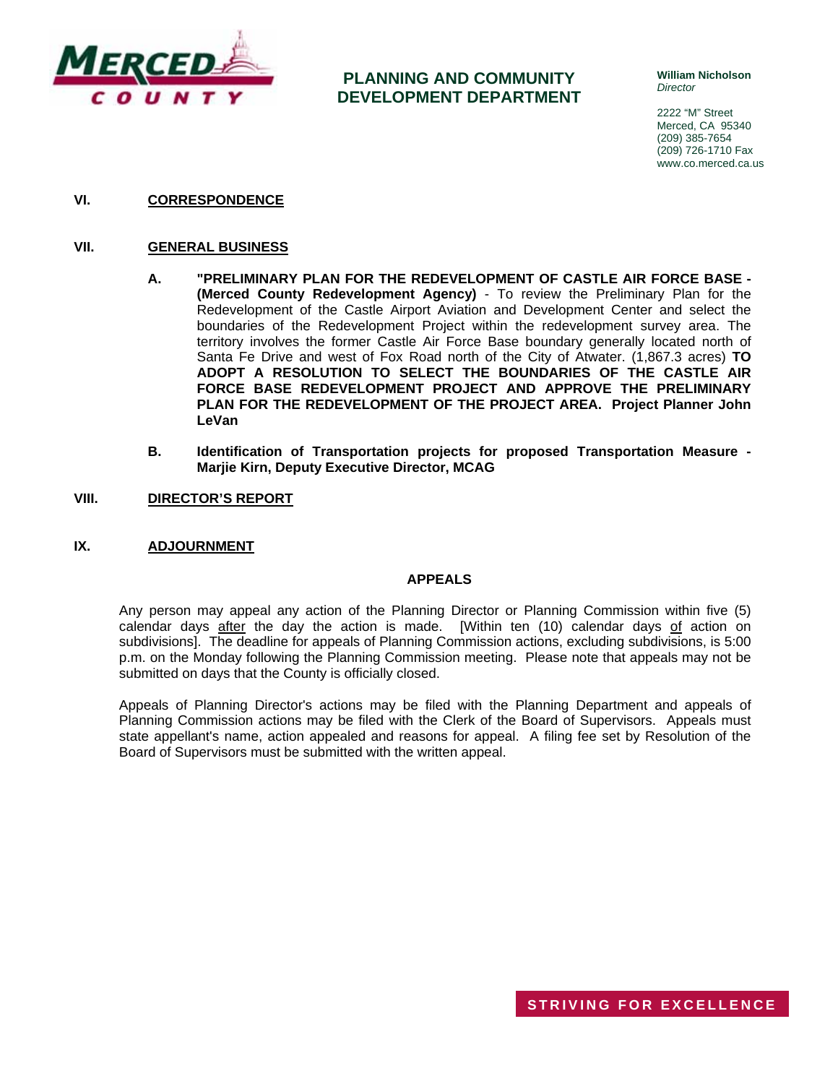

# **PLANNING AND COMMUNITY DEVELOPMENT DEPARTMENT**

**William Nicholson**  *Director* 

2222 "M" Street Merced, CA 95340 (209) 385-7654 (209) 726-1710 Fax www.co.merced.ca.us

**VI. CORRESPONDENCE**

### **VII. GENERAL BUSINESS**

- **A. "PRELIMINARY PLAN FOR THE REDEVELOPMENT OF CASTLE AIR FORCE BASE (Merced County Redevelopment Agency)** - To review the Preliminary Plan for the Redevelopment of the Castle Airport Aviation and Development Center and select the boundaries of the Redevelopment Project within the redevelopment survey area. The territory involves the former Castle Air Force Base boundary generally located north of Santa Fe Drive and west of Fox Road north of the City of Atwater. (1,867.3 acres) **TO ADOPT A RESOLUTION TO SELECT THE BOUNDARIES OF THE CASTLE AIR FORCE BASE REDEVELOPMENT PROJECT AND APPROVE THE PRELIMINARY PLAN FOR THE REDEVELOPMENT OF THE PROJECT AREA. Project Planner John LeVan**
- **B. Identification of Transportation projects for proposed Transportation Measure Marjie Kirn, Deputy Executive Director, MCAG**
- **VIII. DIRECTOR'S REPORT**

### **IX. ADJOURNMENT**

#### **APPEALS**

Any person may appeal any action of the Planning Director or Planning Commission within five (5) calendar days after the day the action is made. [Within ten (10) calendar days of action on subdivisions]. The deadline for appeals of Planning Commission actions, excluding subdivisions, is 5:00 p.m. on the Monday following the Planning Commission meeting. Please note that appeals may not be submitted on days that the County is officially closed.

Appeals of Planning Director's actions may be filed with the Planning Department and appeals of Planning Commission actions may be filed with the Clerk of the Board of Supervisors. Appeals must state appellant's name, action appealed and reasons for appeal. A filing fee set by Resolution of the Board of Supervisors must be submitted with the written appeal.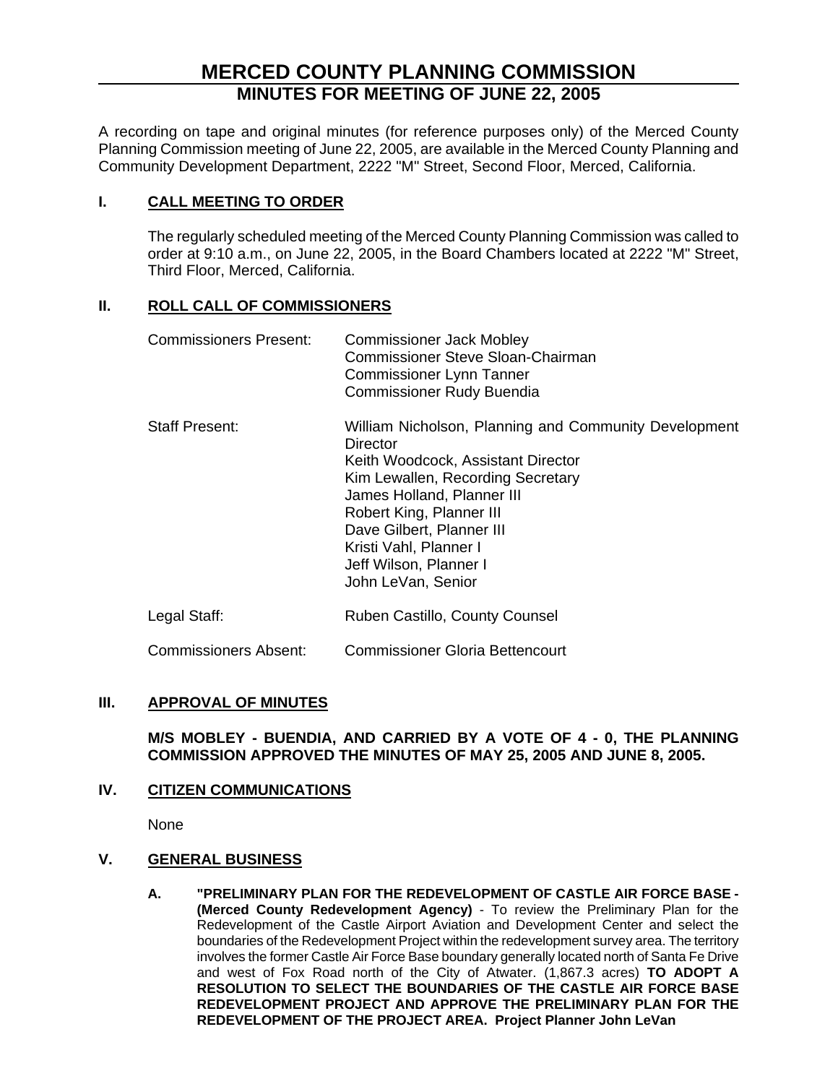# **MERCED COUNTY PLANNING COMMISSION MINUTES FOR MEETING OF JUNE 22, 2005**

A recording on tape and original minutes (for reference purposes only) of the Merced County Planning Commission meeting of June 22, 2005, are available in the Merced County Planning and Community Development Department, 2222 "M" Street, Second Floor, Merced, California.

# **I. CALL MEETING TO ORDER**

The regularly scheduled meeting of the Merced County Planning Commission was called to order at 9:10 a.m., on June 22, 2005, in the Board Chambers located at 2222 "M" Street, Third Floor, Merced, California.

# **II. ROLL CALL OF COMMISSIONERS**

| Commissioners Present: | <b>Commissioner Jack Mobley</b><br>Commissioner Steve Sloan-Chairman<br><b>Commissioner Lynn Tanner</b><br><b>Commissioner Rudy Buendia</b>                                                                                                                                                                   |
|------------------------|---------------------------------------------------------------------------------------------------------------------------------------------------------------------------------------------------------------------------------------------------------------------------------------------------------------|
| <b>Staff Present:</b>  | William Nicholson, Planning and Community Development<br>Director<br>Keith Woodcock, Assistant Director<br>Kim Lewallen, Recording Secretary<br>James Holland, Planner III<br>Robert King, Planner III<br>Dave Gilbert, Planner III<br>Kristi Vahl, Planner I<br>Jeff Wilson, Planner I<br>John LeVan, Senior |
| Legal Staff:           | Ruben Castillo, County Counsel                                                                                                                                                                                                                                                                                |

Commissioners Absent: Commissioner Gloria Bettencourt

# **III. APPROVAL OF MINUTES**

**M/S MOBLEY - BUENDIA, AND CARRIED BY A VOTE OF 4 - 0, THE PLANNING COMMISSION APPROVED THE MINUTES OF MAY 25, 2005 AND JUNE 8, 2005.**

# **IV. CITIZEN COMMUNICATIONS**

None

# **V. GENERAL BUSINESS**

**A. "PRELIMINARY PLAN FOR THE REDEVELOPMENT OF CASTLE AIR FORCE BASE - (Merced County Redevelopment Agency)** - To review the Preliminary Plan for the Redevelopment of the Castle Airport Aviation and Development Center and select the boundaries of the Redevelopment Project within the redevelopment survey area. The territory involves the former Castle Air Force Base boundary generally located north of Santa Fe Drive and west of Fox Road north of the City of Atwater. (1,867.3 acres) **TO ADOPT A RESOLUTION TO SELECT THE BOUNDARIES OF THE CASTLE AIR FORCE BASE REDEVELOPMENT PROJECT AND APPROVE THE PRELIMINARY PLAN FOR THE REDEVELOPMENT OF THE PROJECT AREA. Project Planner John LeVan**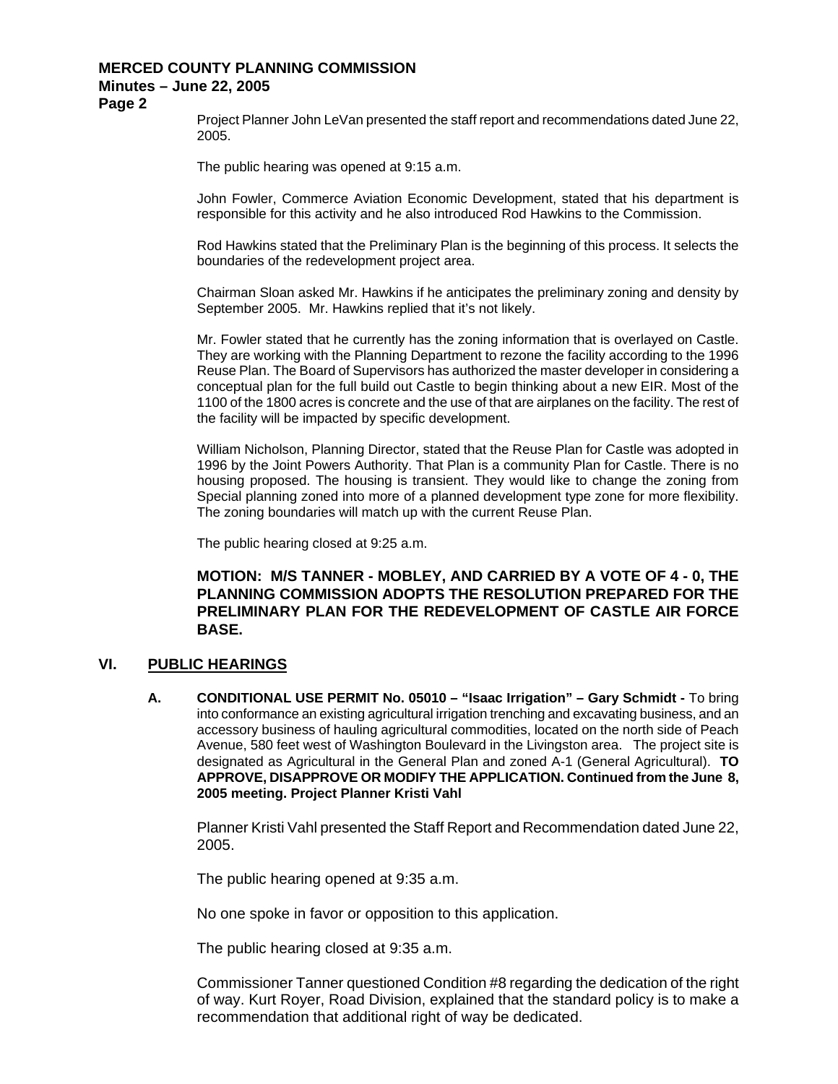**Page 2** 

Project Planner John LeVan presented the staff report and recommendations dated June 22, 2005.

The public hearing was opened at 9:15 a.m.

John Fowler, Commerce Aviation Economic Development, stated that his department is responsible for this activity and he also introduced Rod Hawkins to the Commission.

Rod Hawkins stated that the Preliminary Plan is the beginning of this process. It selects the boundaries of the redevelopment project area.

Chairman Sloan asked Mr. Hawkins if he anticipates the preliminary zoning and density by September 2005. Mr. Hawkins replied that it's not likely.

Mr. Fowler stated that he currently has the zoning information that is overlayed on Castle. They are working with the Planning Department to rezone the facility according to the 1996 Reuse Plan. The Board of Supervisors has authorized the master developer in considering a conceptual plan for the full build out Castle to begin thinking about a new EIR. Most of the 1100 of the 1800 acres is concrete and the use of that are airplanes on the facility. The rest of the facility will be impacted by specific development.

William Nicholson, Planning Director, stated that the Reuse Plan for Castle was adopted in 1996 by the Joint Powers Authority. That Plan is a community Plan for Castle. There is no housing proposed. The housing is transient. They would like to change the zoning from Special planning zoned into more of a planned development type zone for more flexibility. The zoning boundaries will match up with the current Reuse Plan.

The public hearing closed at 9:25 a.m.

# **MOTION: M/S TANNER - MOBLEY, AND CARRIED BY A VOTE OF 4 - 0, THE PLANNING COMMISSION ADOPTS THE RESOLUTION PREPARED FOR THE PRELIMINARY PLAN FOR THE REDEVELOPMENT OF CASTLE AIR FORCE BASE.**

# **VI. PUBLIC HEARINGS**

**A. CONDITIONAL USE PERMIT No. 05010 – "Isaac Irrigation" – Gary Schmidt -** To bring into conformance an existing agricultural irrigation trenching and excavating business, and an accessory business of hauling agricultural commodities, located on the north side of Peach Avenue, 580 feet west of Washington Boulevard in the Livingston area. The project site is designated as Agricultural in the General Plan and zoned A-1 (General Agricultural). **TO APPROVE, DISAPPROVE OR MODIFY THE APPLICATION. Continued from the June 8, 2005 meeting. Project Planner Kristi Vahl** 

Planner Kristi Vahl presented the Staff Report and Recommendation dated June 22, 2005.

The public hearing opened at 9:35 a.m.

No one spoke in favor or opposition to this application.

The public hearing closed at 9:35 a.m.

Commissioner Tanner questioned Condition #8 regarding the dedication of the right of way. Kurt Royer, Road Division, explained that the standard policy is to make a recommendation that additional right of way be dedicated.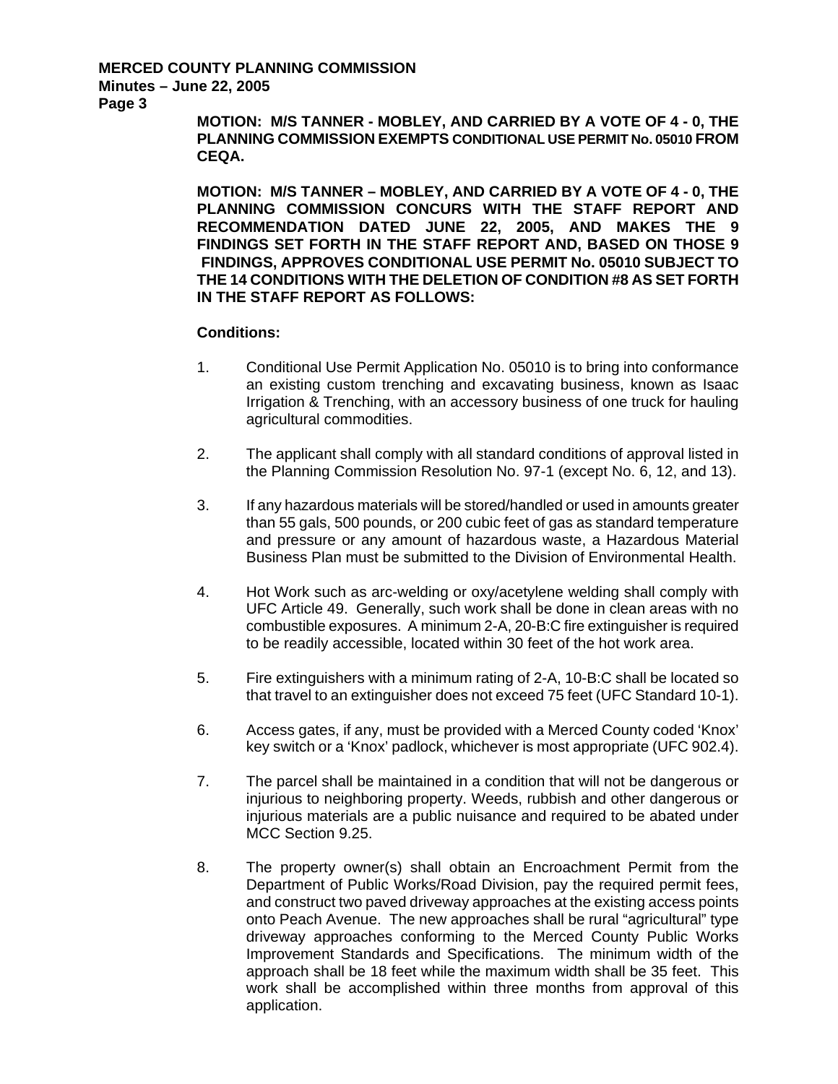**MOTION: M/S TANNER - MOBLEY, AND CARRIED BY A VOTE OF 4 - 0, THE PLANNING COMMISSION EXEMPTS CONDITIONAL USE PERMIT No. 05010 FROM CEQA.** 

**MOTION: M/S TANNER – MOBLEY, AND CARRIED BY A VOTE OF 4 - 0, THE PLANNING COMMISSION CONCURS WITH THE STAFF REPORT AND RECOMMENDATION DATED JUNE 22, 2005, AND MAKES THE 9 FINDINGS SET FORTH IN THE STAFF REPORT AND, BASED ON THOSE 9 FINDINGS, APPROVES CONDITIONAL USE PERMIT No. 05010 SUBJECT TO THE 14 CONDITIONS WITH THE DELETION OF CONDITION #8 AS SET FORTH IN THE STAFF REPORT AS FOLLOWS:** 

- 1. Conditional Use Permit Application No. 05010 is to bring into conformance an existing custom trenching and excavating business, known as Isaac Irrigation & Trenching, with an accessory business of one truck for hauling agricultural commodities.
- 2. The applicant shall comply with all standard conditions of approval listed in the Planning Commission Resolution No. 97-1 (except No. 6, 12, and 13).
- 3. If any hazardous materials will be stored/handled or used in amounts greater than 55 gals, 500 pounds, or 200 cubic feet of gas as standard temperature and pressure or any amount of hazardous waste, a Hazardous Material Business Plan must be submitted to the Division of Environmental Health.
- 4. Hot Work such as arc-welding or oxy/acetylene welding shall comply with UFC Article 49. Generally, such work shall be done in clean areas with no combustible exposures. A minimum 2-A, 20-B:C fire extinguisher is required to be readily accessible, located within 30 feet of the hot work area.
- 5. Fire extinguishers with a minimum rating of 2-A, 10-B:C shall be located so that travel to an extinguisher does not exceed 75 feet (UFC Standard 10-1).
- 6. Access gates, if any, must be provided with a Merced County coded 'Knox' key switch or a 'Knox' padlock, whichever is most appropriate (UFC 902.4).
- 7. The parcel shall be maintained in a condition that will not be dangerous or injurious to neighboring property. Weeds, rubbish and other dangerous or injurious materials are a public nuisance and required to be abated under MCC Section 9.25.
- 8. The property owner(s) shall obtain an Encroachment Permit from the Department of Public Works/Road Division, pay the required permit fees, and construct two paved driveway approaches at the existing access points onto Peach Avenue. The new approaches shall be rural "agricultural" type driveway approaches conforming to the Merced County Public Works Improvement Standards and Specifications. The minimum width of the approach shall be 18 feet while the maximum width shall be 35 feet. This work shall be accomplished within three months from approval of this application.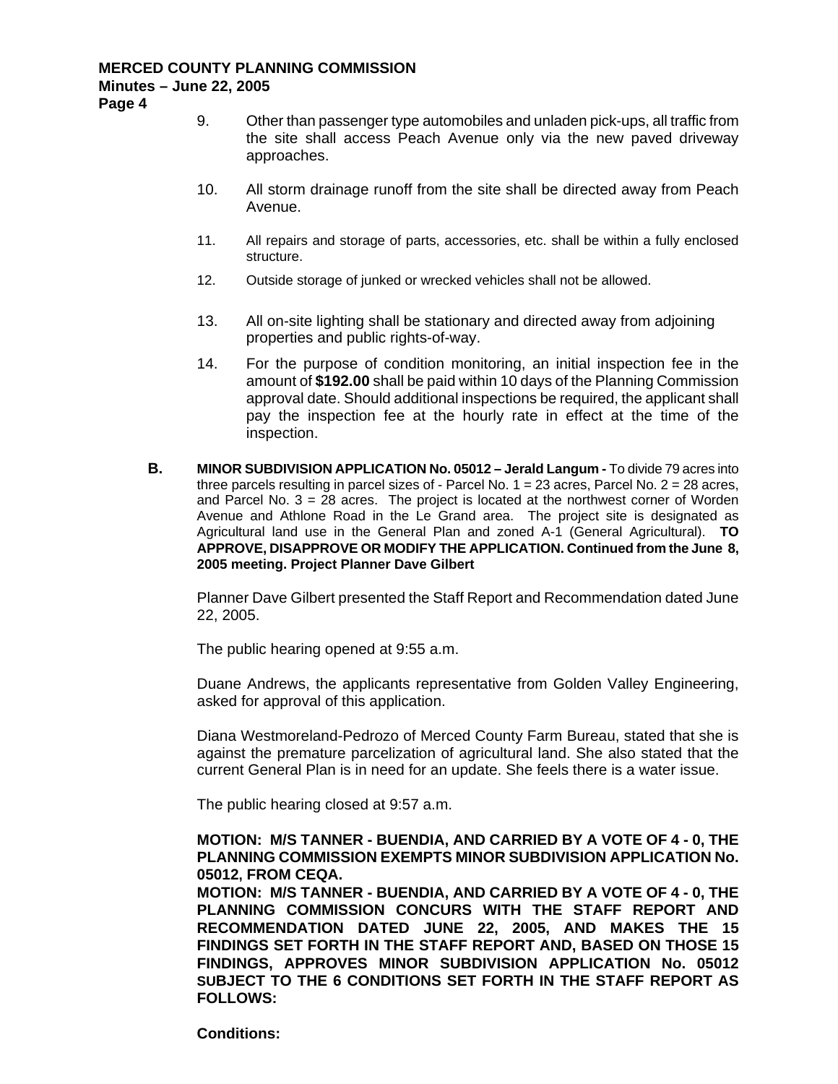**Page 4** 

- 9. Other than passenger type automobiles and unladen pick-ups, all traffic from the site shall access Peach Avenue only via the new paved driveway approaches.
- 10. All storm drainage runoff from the site shall be directed away from Peach Avenue.
- 11. All repairs and storage of parts, accessories, etc. shall be within a fully enclosed structure.
- 12. Outside storage of junked or wrecked vehicles shall not be allowed.
- 13. All on-site lighting shall be stationary and directed away from adjoining properties and public rights-of-way.
- 14. For the purpose of condition monitoring, an initial inspection fee in the amount of **\$192.00** shall be paid within 10 days of the Planning Commission approval date. Should additional inspections be required, the applicant shall pay the inspection fee at the hourly rate in effect at the time of the inspection.
- **B. MINOR SUBDIVISION APPLICATION No. 05012 Jerald Langum To divide 79 acres into** three parcels resulting in parcel sizes of - Parcel No.  $1 = 23$  acres, Parcel No.  $2 = 28$  acres, and Parcel No.  $3 = 28$  acres. The project is located at the northwest corner of Worden Avenue and Athlone Road in the Le Grand area. The project site is designated as Agricultural land use in the General Plan and zoned A-1 (General Agricultural). **TO APPROVE, DISAPPROVE OR MODIFY THE APPLICATION. Continued from the June 8, 2005 meeting. Project Planner Dave Gilbert**

Planner Dave Gilbert presented the Staff Report and Recommendation dated June 22, 2005.

The public hearing opened at 9:55 a.m.

Duane Andrews, the applicants representative from Golden Valley Engineering, asked for approval of this application.

Diana Westmoreland-Pedrozo of Merced County Farm Bureau, stated that she is against the premature parcelization of agricultural land. She also stated that the current General Plan is in need for an update. She feels there is a water issue.

The public hearing closed at 9:57 a.m.

# **MOTION: M/S TANNER - BUENDIA, AND CARRIED BY A VOTE OF 4 - 0, THE PLANNING COMMISSION EXEMPTS MINOR SUBDIVISION APPLICATION No. 05012, FROM CEQA.**

**MOTION: M/S TANNER - BUENDIA, AND CARRIED BY A VOTE OF 4 - 0, THE PLANNING COMMISSION CONCURS WITH THE STAFF REPORT AND RECOMMENDATION DATED JUNE 22, 2005, AND MAKES THE 15 FINDINGS SET FORTH IN THE STAFF REPORT AND, BASED ON THOSE 15 FINDINGS, APPROVES MINOR SUBDIVISION APPLICATION No. 05012 SUBJECT TO THE 6 CONDITIONS SET FORTH IN THE STAFF REPORT AS FOLLOWS:**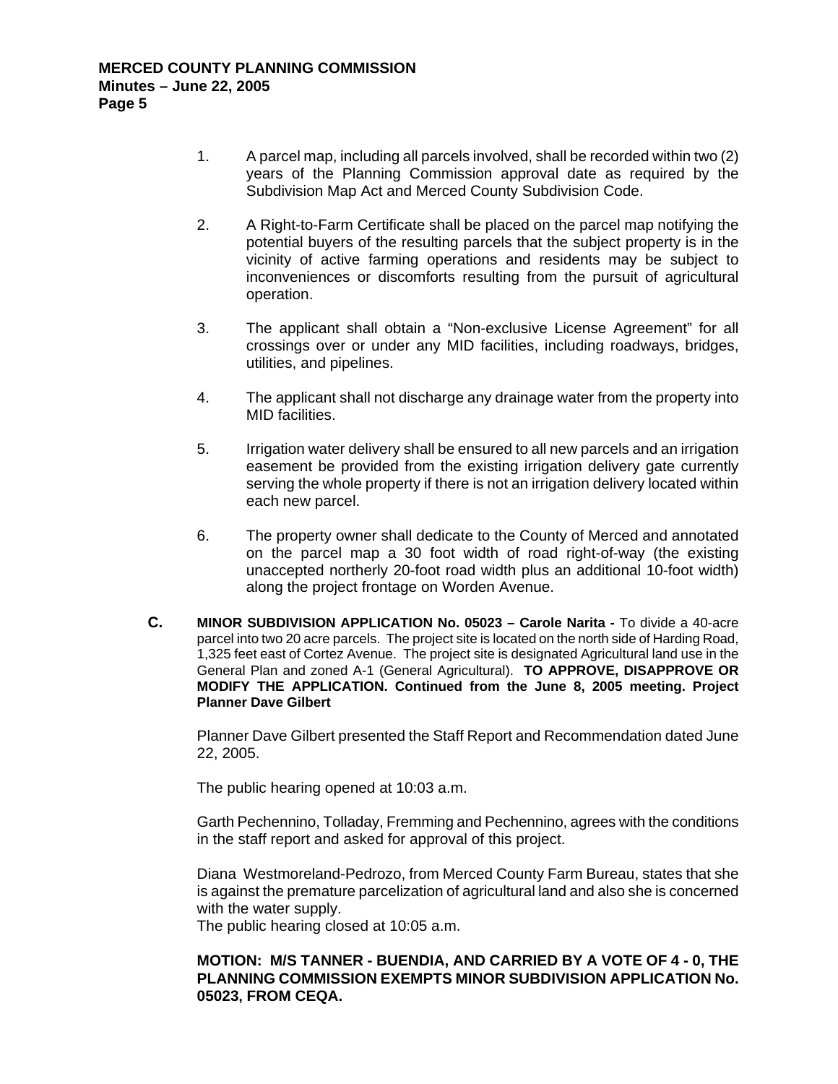- 1. A parcel map, including all parcels involved, shall be recorded within two (2) years of the Planning Commission approval date as required by the Subdivision Map Act and Merced County Subdivision Code.
- 2. A Right-to-Farm Certificate shall be placed on the parcel map notifying the potential buyers of the resulting parcels that the subject property is in the vicinity of active farming operations and residents may be subject to inconveniences or discomforts resulting from the pursuit of agricultural operation.
- 3. The applicant shall obtain a "Non-exclusive License Agreement" for all crossings over or under any MID facilities, including roadways, bridges, utilities, and pipelines.
- 4. The applicant shall not discharge any drainage water from the property into MID facilities.
- 5. Irrigation water delivery shall be ensured to all new parcels and an irrigation easement be provided from the existing irrigation delivery gate currently serving the whole property if there is not an irrigation delivery located within each new parcel.
- 6. The property owner shall dedicate to the County of Merced and annotated on the parcel map a 30 foot width of road right-of-way (the existing unaccepted northerly 20-foot road width plus an additional 10-foot width) along the project frontage on Worden Avenue.
- **C. MINOR SUBDIVISION APPLICATION No. 05023 Carole Narita** To divide a 40-acre parcel into two 20 acre parcels. The project site is located on the north side of Harding Road, 1,325 feet east of Cortez Avenue. The project site is designated Agricultural land use in the General Plan and zoned A-1 (General Agricultural). **TO APPROVE, DISAPPROVE OR MODIFY THE APPLICATION. Continued from the June 8, 2005 meeting. Project Planner Dave Gilbert**

Planner Dave Gilbert presented the Staff Report and Recommendation dated June 22, 2005.

The public hearing opened at 10:03 a.m.

Garth Pechennino, Tolladay, Fremming and Pechennino, agrees with the conditions in the staff report and asked for approval of this project.

Diana Westmoreland-Pedrozo, from Merced County Farm Bureau, states that she is against the premature parcelization of agricultural land and also she is concerned with the water supply.

The public hearing closed at 10:05 a.m.

# **MOTION: M/S TANNER - BUENDIA, AND CARRIED BY A VOTE OF 4 - 0, THE PLANNING COMMISSION EXEMPTS MINOR SUBDIVISION APPLICATION No. 05023, FROM CEQA.**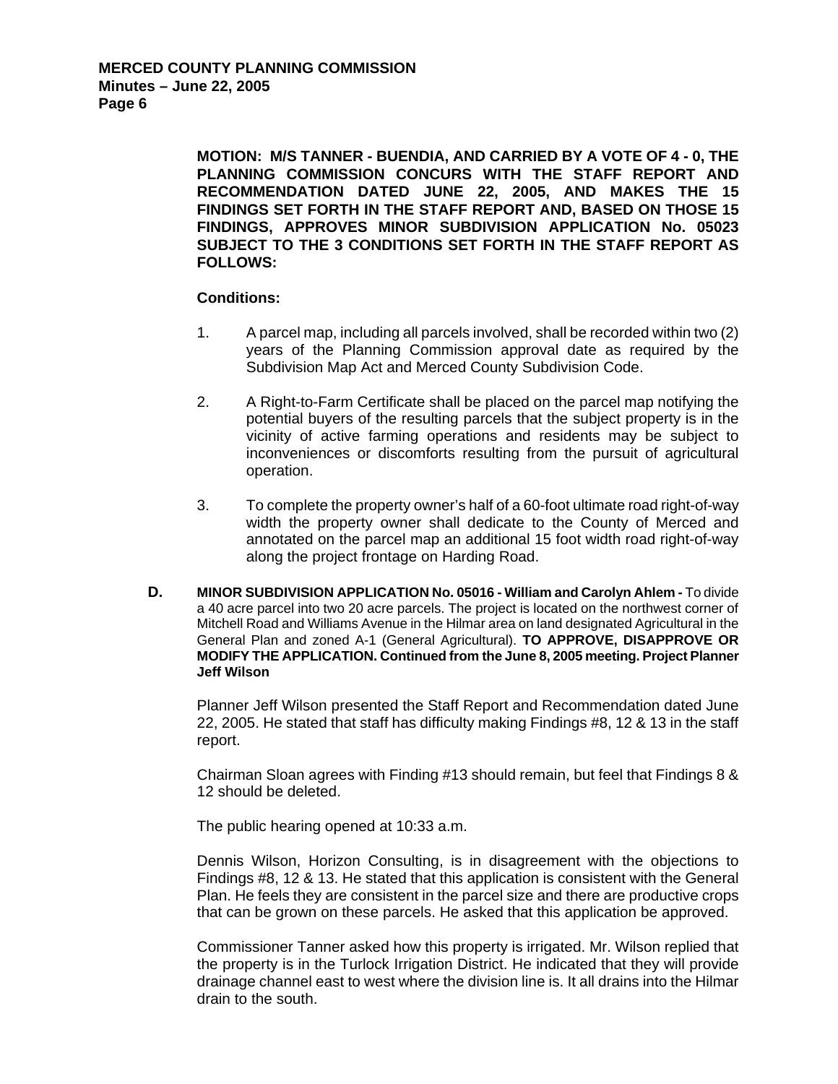**MOTION: M/S TANNER - BUENDIA, AND CARRIED BY A VOTE OF 4 - 0, THE PLANNING COMMISSION CONCURS WITH THE STAFF REPORT AND RECOMMENDATION DATED JUNE 22, 2005, AND MAKES THE 15 FINDINGS SET FORTH IN THE STAFF REPORT AND, BASED ON THOSE 15 FINDINGS, APPROVES MINOR SUBDIVISION APPLICATION No. 05023 SUBJECT TO THE 3 CONDITIONS SET FORTH IN THE STAFF REPORT AS FOLLOWS:** 

## **Conditions:**

- 1. A parcel map, including all parcels involved, shall be recorded within two (2) years of the Planning Commission approval date as required by the Subdivision Map Act and Merced County Subdivision Code.
- 2. A Right-to-Farm Certificate shall be placed on the parcel map notifying the potential buyers of the resulting parcels that the subject property is in the vicinity of active farming operations and residents may be subject to inconveniences or discomforts resulting from the pursuit of agricultural operation.
- 3. To complete the property owner's half of a 60-foot ultimate road right-of-way width the property owner shall dedicate to the County of Merced and annotated on the parcel map an additional 15 foot width road right-of-way along the project frontage on Harding Road.
- **D. MINOR SUBDIVISION APPLICATION No. 05016 William and Carolyn Ahlem** To divide a 40 acre parcel into two 20 acre parcels. The project is located on the northwest corner of Mitchell Road and Williams Avenue in the Hilmar area on land designated Agricultural in the General Plan and zoned A-1 (General Agricultural). **TO APPROVE, DISAPPROVE OR MODIFY THE APPLICATION. Continued from the June 8, 2005 meeting. Project Planner Jeff Wilson**

Planner Jeff Wilson presented the Staff Report and Recommendation dated June 22, 2005. He stated that staff has difficulty making Findings #8, 12 & 13 in the staff report.

Chairman Sloan agrees with Finding #13 should remain, but feel that Findings 8 & 12 should be deleted.

The public hearing opened at 10:33 a.m.

Dennis Wilson, Horizon Consulting, is in disagreement with the objections to Findings #8, 12 & 13. He stated that this application is consistent with the General Plan. He feels they are consistent in the parcel size and there are productive crops that can be grown on these parcels. He asked that this application be approved.

Commissioner Tanner asked how this property is irrigated. Mr. Wilson replied that the property is in the Turlock Irrigation District. He indicated that they will provide drainage channel east to west where the division line is. It all drains into the Hilmar drain to the south.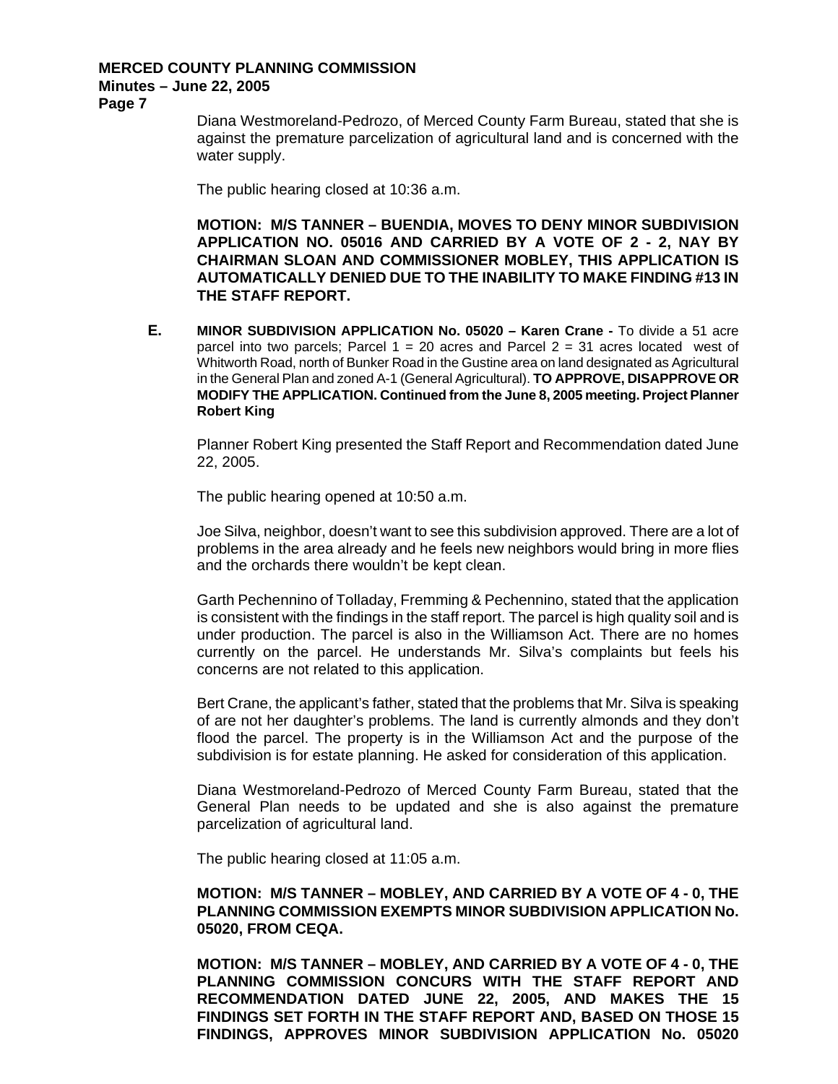**Page 7** 

Diana Westmoreland-Pedrozo, of Merced County Farm Bureau, stated that she is against the premature parcelization of agricultural land and is concerned with the water supply.

The public hearing closed at 10:36 a.m.

**MOTION: M/S TANNER – BUENDIA, MOVES TO DENY MINOR SUBDIVISION APPLICATION NO. 05016 AND CARRIED BY A VOTE OF 2 - 2, NAY BY CHAIRMAN SLOAN AND COMMISSIONER MOBLEY, THIS APPLICATION IS AUTOMATICALLY DENIED DUE TO THE INABILITY TO MAKE FINDING #13 IN THE STAFF REPORT.** 

**E. MINOR SUBDIVISION APPLICATION No. 05020 – Karen Crane -** To divide a 51 acre parcel into two parcels; Parcel  $1 = 20$  acres and Parcel  $2 = 31$  acres located west of Whitworth Road, north of Bunker Road in the Gustine area on land designated as Agricultural in the General Plan and zoned A-1 (General Agricultural). **TO APPROVE, DISAPPROVE OR MODIFY THE APPLICATION. Continued from the June 8, 2005 meeting. Project Planner Robert King** 

Planner Robert King presented the Staff Report and Recommendation dated June 22, 2005.

The public hearing opened at 10:50 a.m.

Joe Silva, neighbor, doesn't want to see this subdivision approved. There are a lot of problems in the area already and he feels new neighbors would bring in more flies and the orchards there wouldn't be kept clean.

Garth Pechennino of Tolladay, Fremming & Pechennino, stated that the application is consistent with the findings in the staff report. The parcel is high quality soil and is under production. The parcel is also in the Williamson Act. There are no homes currently on the parcel. He understands Mr. Silva's complaints but feels his concerns are not related to this application.

Bert Crane, the applicant's father, stated that the problems that Mr. Silva is speaking of are not her daughter's problems. The land is currently almonds and they don't flood the parcel. The property is in the Williamson Act and the purpose of the subdivision is for estate planning. He asked for consideration of this application.

Diana Westmoreland-Pedrozo of Merced County Farm Bureau, stated that the General Plan needs to be updated and she is also against the premature parcelization of agricultural land.

The public hearing closed at 11:05 a.m.

# **MOTION: M/S TANNER – MOBLEY, AND CARRIED BY A VOTE OF 4 - 0, THE PLANNING COMMISSION EXEMPTS MINOR SUBDIVISION APPLICATION No. 05020, FROM CEQA.**

**MOTION: M/S TANNER – MOBLEY, AND CARRIED BY A VOTE OF 4 - 0, THE PLANNING COMMISSION CONCURS WITH THE STAFF REPORT AND RECOMMENDATION DATED JUNE 22, 2005, AND MAKES THE 15 FINDINGS SET FORTH IN THE STAFF REPORT AND, BASED ON THOSE 15 FINDINGS, APPROVES MINOR SUBDIVISION APPLICATION No. 05020**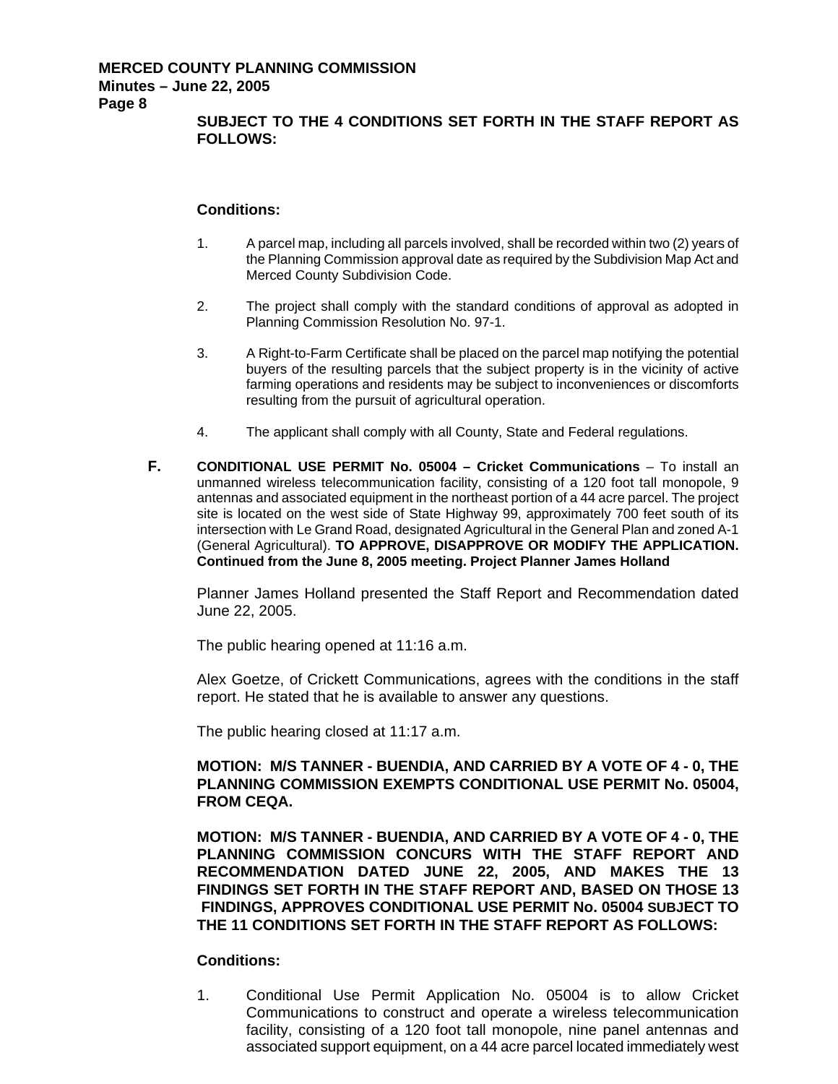**SUBJECT TO THE 4 CONDITIONS SET FORTH IN THE STAFF REPORT AS FOLLOWS:** 

## **Conditions:**

- 1. A parcel map, including all parcels involved, shall be recorded within two (2) years of the Planning Commission approval date as required by the Subdivision Map Act and Merced County Subdivision Code.
- 2. The project shall comply with the standard conditions of approval as adopted in Planning Commission Resolution No. 97-1.
- 3. A Right-to-Farm Certificate shall be placed on the parcel map notifying the potential buyers of the resulting parcels that the subject property is in the vicinity of active farming operations and residents may be subject to inconveniences or discomforts resulting from the pursuit of agricultural operation.
- 4. The applicant shall comply with all County, State and Federal regulations.
- **F. CONDITIONAL USE PERMIT No. 05004 Cricket Communications** To install an unmanned wireless telecommunication facility, consisting of a 120 foot tall monopole, 9 antennas and associated equipment in the northeast portion of a 44 acre parcel. The project site is located on the west side of State Highway 99, approximately 700 feet south of its intersection with Le Grand Road, designated Agricultural in the General Plan and zoned A-1 (General Agricultural). **TO APPROVE, DISAPPROVE OR MODIFY THE APPLICATION. Continued from the June 8, 2005 meeting. Project Planner James Holland**

Planner James Holland presented the Staff Report and Recommendation dated June 22, 2005.

The public hearing opened at 11:16 a.m.

Alex Goetze, of Crickett Communications, agrees with the conditions in the staff report. He stated that he is available to answer any questions.

The public hearing closed at 11:17 a.m.

# **MOTION: M/S TANNER - BUENDIA, AND CARRIED BY A VOTE OF 4 - 0, THE PLANNING COMMISSION EXEMPTS CONDITIONAL USE PERMIT No. 05004, FROM CEQA.**

**MOTION: M/S TANNER - BUENDIA, AND CARRIED BY A VOTE OF 4 - 0, THE PLANNING COMMISSION CONCURS WITH THE STAFF REPORT AND RECOMMENDATION DATED JUNE 22, 2005, AND MAKES THE 13 FINDINGS SET FORTH IN THE STAFF REPORT AND, BASED ON THOSE 13 FINDINGS, APPROVES CONDITIONAL USE PERMIT No. 05004 SUBJECT TO THE 11 CONDITIONS SET FORTH IN THE STAFF REPORT AS FOLLOWS:** 

# **Conditions:**

1. Conditional Use Permit Application No. 05004 is to allow Cricket Communications to construct and operate a wireless telecommunication facility, consisting of a 120 foot tall monopole, nine panel antennas and associated support equipment, on a 44 acre parcel located immediately west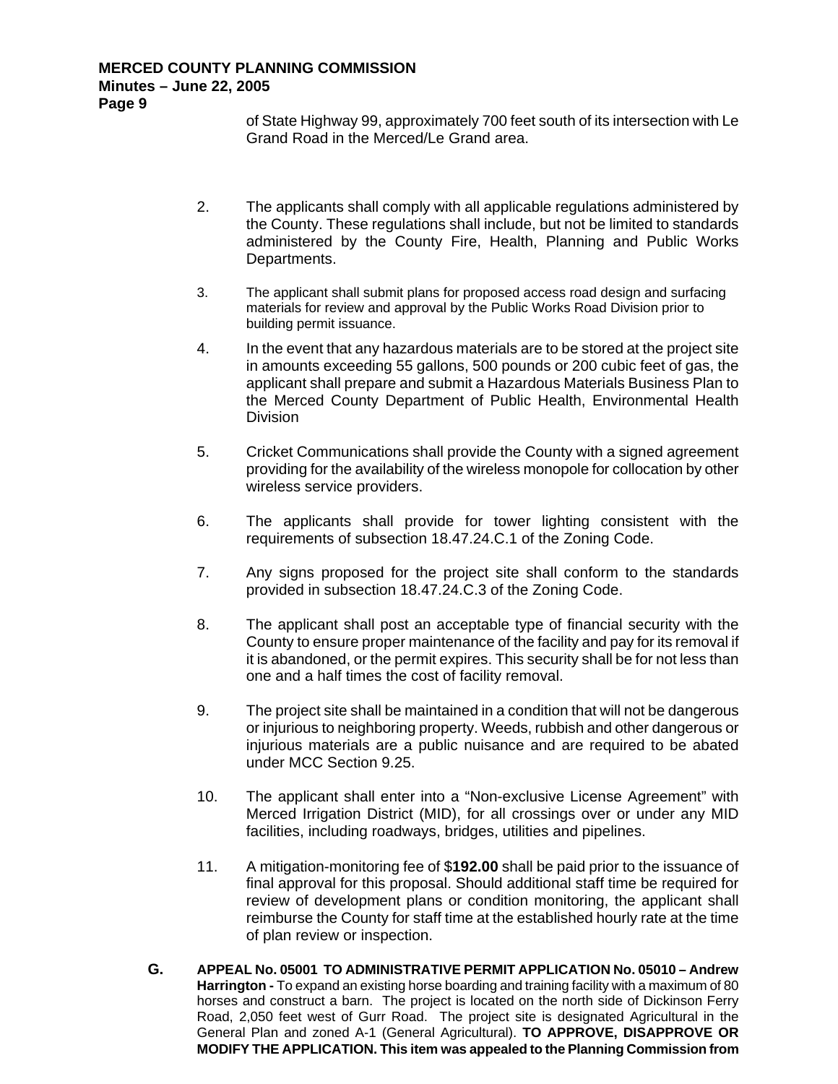of State Highway 99, approximately 700 feet south of its intersection with Le Grand Road in the Merced/Le Grand area.

- 2. The applicants shall comply with all applicable regulations administered by the County. These regulations shall include, but not be limited to standards administered by the County Fire, Health, Planning and Public Works Departments.
- 3. The applicant shall submit plans for proposed access road design and surfacing materials for review and approval by the Public Works Road Division prior to building permit issuance.
- 4. In the event that any hazardous materials are to be stored at the project site in amounts exceeding 55 gallons, 500 pounds or 200 cubic feet of gas, the applicant shall prepare and submit a Hazardous Materials Business Plan to the Merced County Department of Public Health, Environmental Health Division
- 5. Cricket Communications shall provide the County with a signed agreement providing for the availability of the wireless monopole for collocation by other wireless service providers.
- 6. The applicants shall provide for tower lighting consistent with the requirements of subsection 18.47.24.C.1 of the Zoning Code.
- 7. Any signs proposed for the project site shall conform to the standards provided in subsection 18.47.24.C.3 of the Zoning Code.
- 8. The applicant shall post an acceptable type of financial security with the County to ensure proper maintenance of the facility and pay for its removal if it is abandoned, or the permit expires. This security shall be for not less than one and a half times the cost of facility removal.
- 9. The project site shall be maintained in a condition that will not be dangerous or injurious to neighboring property. Weeds, rubbish and other dangerous or injurious materials are a public nuisance and are required to be abated under MCC Section 9.25.
- 10. The applicant shall enter into a "Non-exclusive License Agreement" with Merced Irrigation District (MID), for all crossings over or under any MID facilities, including roadways, bridges, utilities and pipelines.
- 11. A mitigation-monitoring fee of \$**192.00** shall be paid prior to the issuance of final approval for this proposal. Should additional staff time be required for review of development plans or condition monitoring, the applicant shall reimburse the County for staff time at the established hourly rate at the time of plan review or inspection.
- **G. APPEAL No. 05001 TO ADMINISTRATIVE PERMIT APPLICATION No. 05010 Andrew Harrington -** To expand an existing horse boarding and training facility with a maximum of 80 horses and construct a barn. The project is located on the north side of Dickinson Ferry Road, 2,050 feet west of Gurr Road. The project site is designated Agricultural in the General Plan and zoned A-1 (General Agricultural). **TO APPROVE, DISAPPROVE OR MODIFY THE APPLICATION. This item was appealed to the Planning Commission from**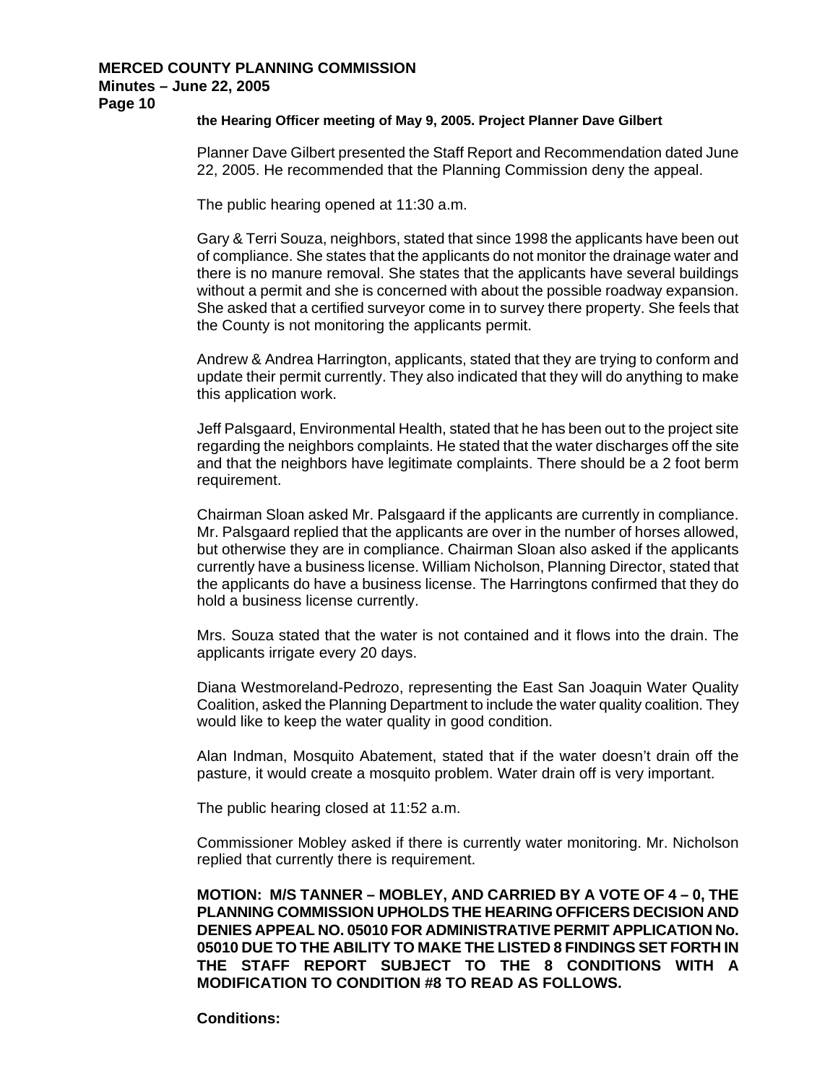### **the Hearing Officer meeting of May 9, 2005. Project Planner Dave Gilbert**

Planner Dave Gilbert presented the Staff Report and Recommendation dated June 22, 2005. He recommended that the Planning Commission deny the appeal.

The public hearing opened at 11:30 a.m.

Gary & Terri Souza, neighbors, stated that since 1998 the applicants have been out of compliance. She states that the applicants do not monitor the drainage water and there is no manure removal. She states that the applicants have several buildings without a permit and she is concerned with about the possible roadway expansion. She asked that a certified surveyor come in to survey there property. She feels that the County is not monitoring the applicants permit.

Andrew & Andrea Harrington, applicants, stated that they are trying to conform and update their permit currently. They also indicated that they will do anything to make this application work.

Jeff Palsgaard, Environmental Health, stated that he has been out to the project site regarding the neighbors complaints. He stated that the water discharges off the site and that the neighbors have legitimate complaints. There should be a 2 foot berm requirement.

Chairman Sloan asked Mr. Palsgaard if the applicants are currently in compliance. Mr. Palsgaard replied that the applicants are over in the number of horses allowed, but otherwise they are in compliance. Chairman Sloan also asked if the applicants currently have a business license. William Nicholson, Planning Director, stated that the applicants do have a business license. The Harringtons confirmed that they do hold a business license currently.

Mrs. Souza stated that the water is not contained and it flows into the drain. The applicants irrigate every 20 days.

Diana Westmoreland-Pedrozo, representing the East San Joaquin Water Quality Coalition, asked the Planning Department to include the water quality coalition. They would like to keep the water quality in good condition.

Alan Indman, Mosquito Abatement, stated that if the water doesn't drain off the pasture, it would create a mosquito problem. Water drain off is very important.

The public hearing closed at 11:52 a.m.

Commissioner Mobley asked if there is currently water monitoring. Mr. Nicholson replied that currently there is requirement.

**MOTION: M/S TANNER – MOBLEY, AND CARRIED BY A VOTE OF 4 – 0, THE PLANNING COMMISSION UPHOLDS THE HEARING OFFICERS DECISION AND DENIES APPEAL NO. 05010 FOR ADMINISTRATIVE PERMIT APPLICATION No. 05010 DUE TO THE ABILITY TO MAKE THE LISTED 8 FINDINGS SET FORTH IN THE STAFF REPORT SUBJECT TO THE 8 CONDITIONS WITH A MODIFICATION TO CONDITION #8 TO READ AS FOLLOWS.**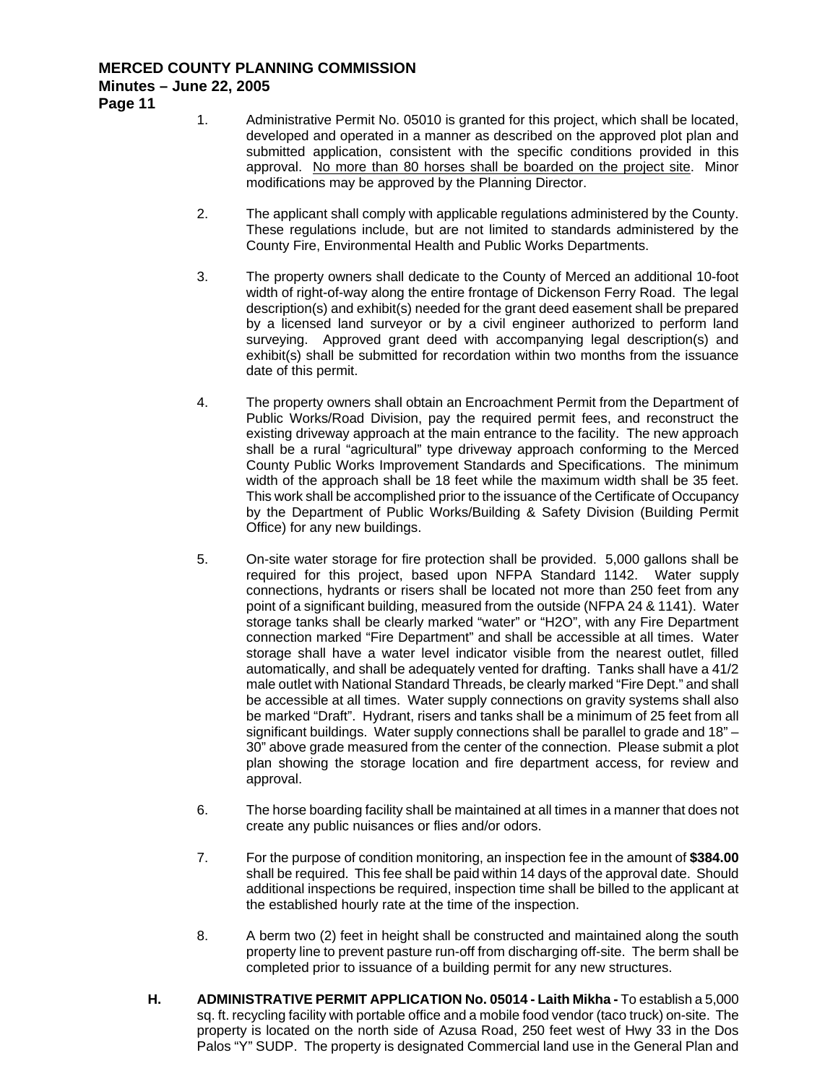**Page 11** 

- 1. Administrative Permit No. 05010 is granted for this project, which shall be located, developed and operated in a manner as described on the approved plot plan and submitted application, consistent with the specific conditions provided in this approval. No more than 80 horses shall be boarded on the project site. Minor modifications may be approved by the Planning Director.
- 2. The applicant shall comply with applicable regulations administered by the County. These regulations include, but are not limited to standards administered by the County Fire, Environmental Health and Public Works Departments.
- 3. The property owners shall dedicate to the County of Merced an additional 10-foot width of right-of-way along the entire frontage of Dickenson Ferry Road. The legal description(s) and exhibit(s) needed for the grant deed easement shall be prepared by a licensed land surveyor or by a civil engineer authorized to perform land surveying. Approved grant deed with accompanying legal description(s) and exhibit(s) shall be submitted for recordation within two months from the issuance date of this permit.
- 4. The property owners shall obtain an Encroachment Permit from the Department of Public Works/Road Division, pay the required permit fees, and reconstruct the existing driveway approach at the main entrance to the facility. The new approach shall be a rural "agricultural" type driveway approach conforming to the Merced County Public Works Improvement Standards and Specifications. The minimum width of the approach shall be 18 feet while the maximum width shall be 35 feet. This work shall be accomplished prior to the issuance of the Certificate of Occupancy by the Department of Public Works/Building & Safety Division (Building Permit Office) for any new buildings.
- 5. On-site water storage for fire protection shall be provided. 5,000 gallons shall be required for this project, based upon NFPA Standard 1142. Water supply connections, hydrants or risers shall be located not more than 250 feet from any point of a significant building, measured from the outside (NFPA 24 & 1141). Water storage tanks shall be clearly marked "water" or "H2O", with any Fire Department connection marked "Fire Department" and shall be accessible at all times. Water storage shall have a water level indicator visible from the nearest outlet, filled automatically, and shall be adequately vented for drafting. Tanks shall have a 41/2 male outlet with National Standard Threads, be clearly marked "Fire Dept." and shall be accessible at all times. Water supply connections on gravity systems shall also be marked "Draft". Hydrant, risers and tanks shall be a minimum of 25 feet from all significant buildings. Water supply connections shall be parallel to grade and 18" – 30" above grade measured from the center of the connection. Please submit a plot plan showing the storage location and fire department access, for review and approval.
- 6. The horse boarding facility shall be maintained at all times in a manner that does not create any public nuisances or flies and/or odors.
- 7. For the purpose of condition monitoring, an inspection fee in the amount of **\$384.00**  shall be required. This fee shall be paid within 14 days of the approval date. Should additional inspections be required, inspection time shall be billed to the applicant at the established hourly rate at the time of the inspection.
- 8. A berm two (2) feet in height shall be constructed and maintained along the south property line to prevent pasture run-off from discharging off-site. The berm shall be completed prior to issuance of a building permit for any new structures.
- **H. ADMINISTRATIVE PERMIT APPLICATION No. 05014 Laith Mikha -** To establish a 5,000 sq. ft. recycling facility with portable office and a mobile food vendor (taco truck) on-site. The property is located on the north side of Azusa Road, 250 feet west of Hwy 33 in the Dos Palos "Y" SUDP. The property is designated Commercial land use in the General Plan and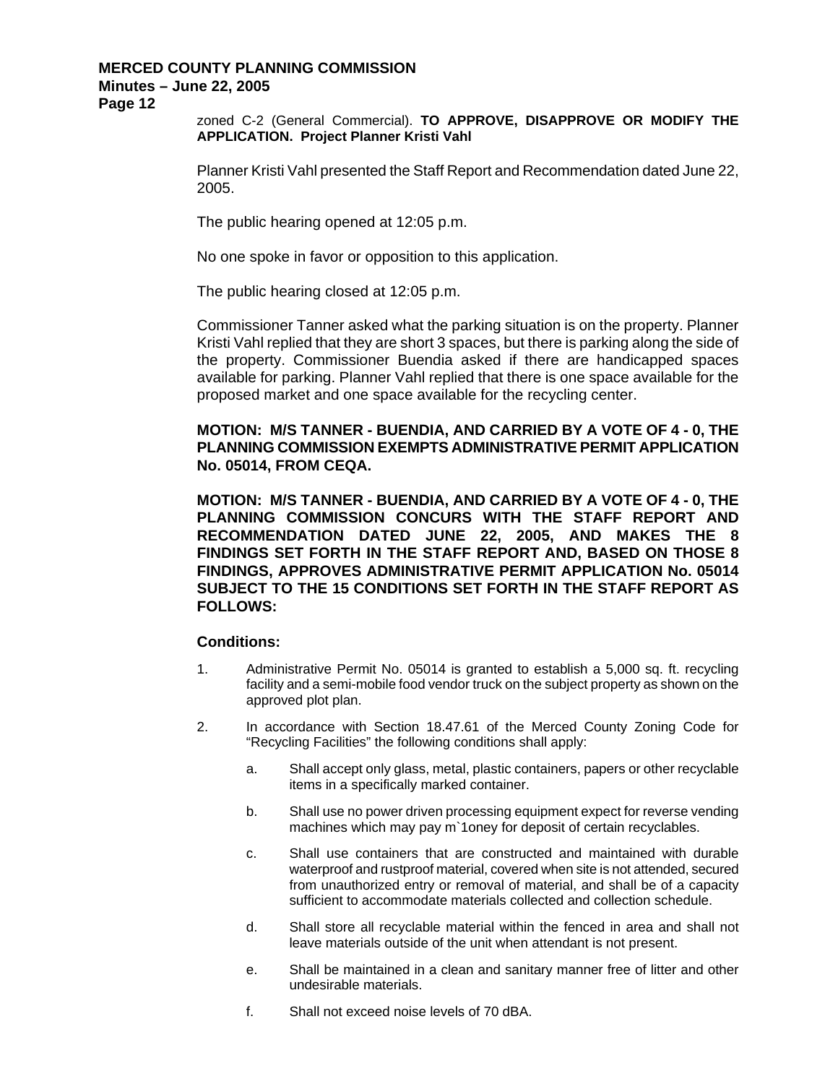**Page 12** 

zoned C-2 (General Commercial). **TO APPROVE, DISAPPROVE OR MODIFY THE APPLICATION. Project Planner Kristi Vahl** 

Planner Kristi Vahl presented the Staff Report and Recommendation dated June 22, 2005.

The public hearing opened at 12:05 p.m.

No one spoke in favor or opposition to this application.

The public hearing closed at 12:05 p.m.

Commissioner Tanner asked what the parking situation is on the property. Planner Kristi Vahl replied that they are short 3 spaces, but there is parking along the side of the property. Commissioner Buendia asked if there are handicapped spaces available for parking. Planner Vahl replied that there is one space available for the proposed market and one space available for the recycling center.

**MOTION: M/S TANNER - BUENDIA, AND CARRIED BY A VOTE OF 4 - 0, THE PLANNING COMMISSION EXEMPTS ADMINISTRATIVE PERMIT APPLICATION No. 05014, FROM CEQA.** 

**MOTION: M/S TANNER - BUENDIA, AND CARRIED BY A VOTE OF 4 - 0, THE PLANNING COMMISSION CONCURS WITH THE STAFF REPORT AND RECOMMENDATION DATED JUNE 22, 2005, AND MAKES THE 8 FINDINGS SET FORTH IN THE STAFF REPORT AND, BASED ON THOSE 8 FINDINGS, APPROVES ADMINISTRATIVE PERMIT APPLICATION No. 05014 SUBJECT TO THE 15 CONDITIONS SET FORTH IN THE STAFF REPORT AS FOLLOWS:** 

- 1. Administrative Permit No. 05014 is granted to establish a 5,000 sq. ft. recycling facility and a semi-mobile food vendor truck on the subject property as shown on the approved plot plan.
- 2. In accordance with Section 18.47.61 of the Merced County Zoning Code for "Recycling Facilities" the following conditions shall apply:
	- a. Shall accept only glass, metal, plastic containers, papers or other recyclable items in a specifically marked container.
	- b. Shall use no power driven processing equipment expect for reverse vending machines which may pay m`1oney for deposit of certain recyclables.
	- c. Shall use containers that are constructed and maintained with durable waterproof and rustproof material, covered when site is not attended, secured from unauthorized entry or removal of material, and shall be of a capacity sufficient to accommodate materials collected and collection schedule.
	- d. Shall store all recyclable material within the fenced in area and shall not leave materials outside of the unit when attendant is not present.
	- e. Shall be maintained in a clean and sanitary manner free of litter and other undesirable materials.
	- f. Shall not exceed noise levels of 70 dBA.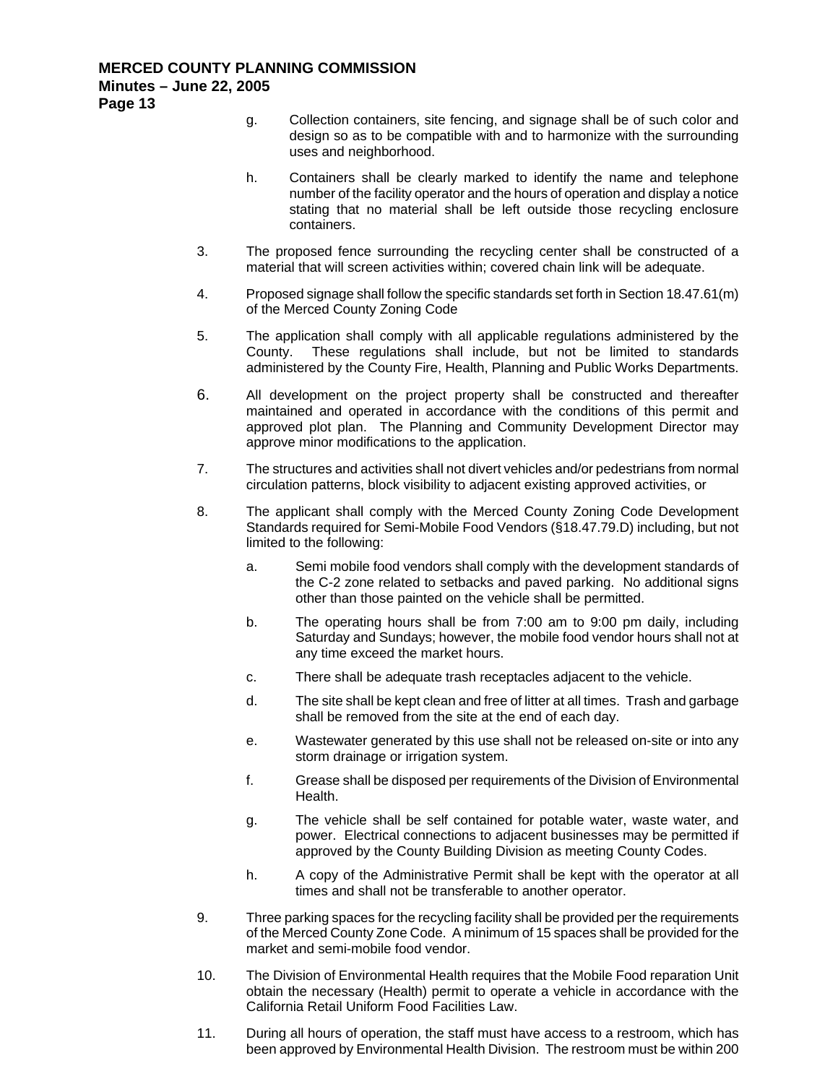- g. Collection containers, site fencing, and signage shall be of such color and design so as to be compatible with and to harmonize with the surrounding uses and neighborhood.
- h. Containers shall be clearly marked to identify the name and telephone number of the facility operator and the hours of operation and display a notice stating that no material shall be left outside those recycling enclosure containers.
- 3. The proposed fence surrounding the recycling center shall be constructed of a material that will screen activities within; covered chain link will be adequate.
- 4. Proposed signage shall follow the specific standards set forth in Section 18.47.61(m) of the Merced County Zoning Code
- 5. The application shall comply with all applicable regulations administered by the County. These regulations shall include, but not be limited to standards administered by the County Fire, Health, Planning and Public Works Departments.
- 6. All development on the project property shall be constructed and thereafter maintained and operated in accordance with the conditions of this permit and approved plot plan. The Planning and Community Development Director may approve minor modifications to the application.
- 7. The structures and activities shall not divert vehicles and/or pedestrians from normal circulation patterns, block visibility to adjacent existing approved activities, or
- 8. The applicant shall comply with the Merced County Zoning Code Development Standards required for Semi-Mobile Food Vendors (§18.47.79.D) including, but not limited to the following:
	- a. Semi mobile food vendors shall comply with the development standards of the C-2 zone related to setbacks and paved parking. No additional signs other than those painted on the vehicle shall be permitted.
	- b. The operating hours shall be from 7:00 am to 9:00 pm daily, including Saturday and Sundays; however, the mobile food vendor hours shall not at any time exceed the market hours.
	- c. There shall be adequate trash receptacles adjacent to the vehicle.
	- d. The site shall be kept clean and free of litter at all times. Trash and garbage shall be removed from the site at the end of each day.
	- e. Wastewater generated by this use shall not be released on-site or into any storm drainage or irrigation system.
	- f. Grease shall be disposed per requirements of the Division of Environmental Health.
	- g. The vehicle shall be self contained for potable water, waste water, and power. Electrical connections to adjacent businesses may be permitted if approved by the County Building Division as meeting County Codes.
	- h. A copy of the Administrative Permit shall be kept with the operator at all times and shall not be transferable to another operator.
- 9. Three parking spaces for the recycling facility shall be provided per the requirements of the Merced County Zone Code. A minimum of 15 spaces shall be provided for the market and semi-mobile food vendor.
- 10. The Division of Environmental Health requires that the Mobile Food reparation Unit obtain the necessary (Health) permit to operate a vehicle in accordance with the California Retail Uniform Food Facilities Law.
- 11. During all hours of operation, the staff must have access to a restroom, which has been approved by Environmental Health Division. The restroom must be within 200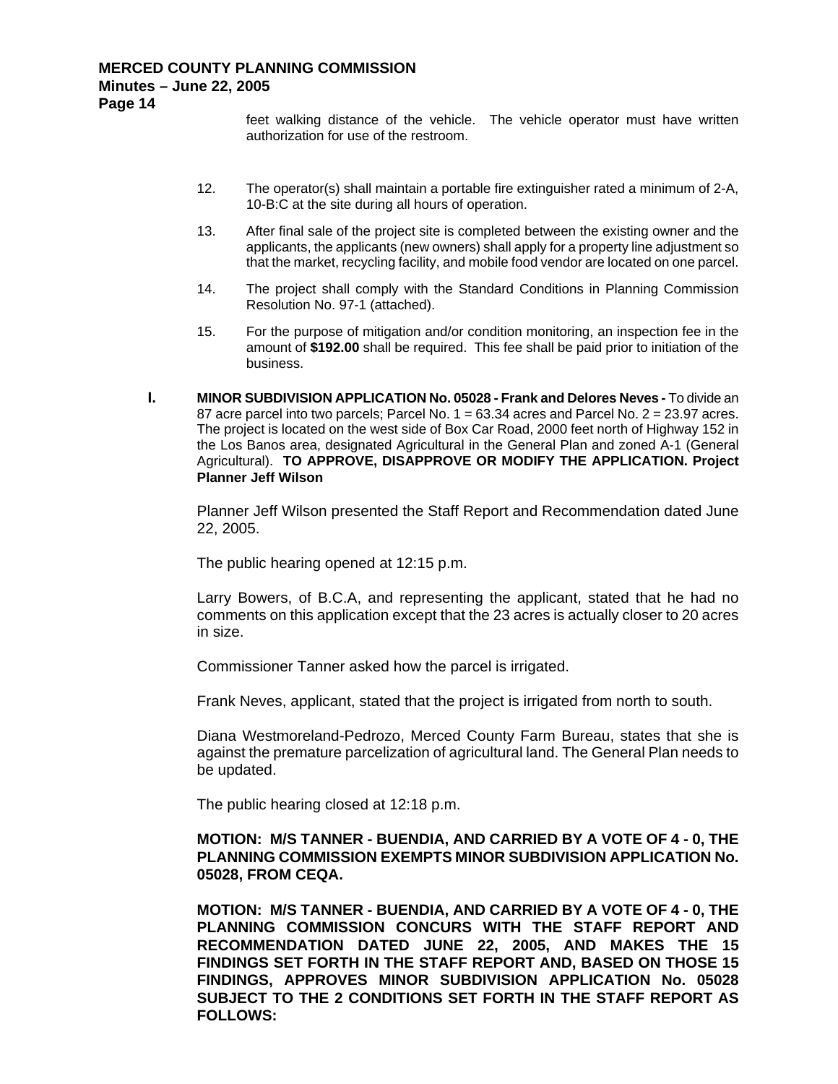feet walking distance of the vehicle. The vehicle operator must have written authorization for use of the restroom.

- 12. The operator(s) shall maintain a portable fire extinguisher rated a minimum of 2-A, 10-B:C at the site during all hours of operation.
- 13. After final sale of the project site is completed between the existing owner and the applicants, the applicants (new owners) shall apply for a property line adjustment so that the market, recycling facility, and mobile food vendor are located on one parcel.
- 14. The project shall comply with the Standard Conditions in Planning Commission Resolution No. 97-1 (attached).
- 15. For the purpose of mitigation and/or condition monitoring, an inspection fee in the amount of **\$192.00** shall be required. This fee shall be paid prior to initiation of the business.
- **I. MINOR SUBDIVISION APPLICATION No. 05028 Frank and Delores Neves -** To divide an 87 acre parcel into two parcels; Parcel No.  $1 = 63.34$  acres and Parcel No.  $2 = 23.97$  acres. The project is located on the west side of Box Car Road, 2000 feet north of Highway 152 in the Los Banos area, designated Agricultural in the General Plan and zoned A-1 (General Agricultural). **TO APPROVE, DISAPPROVE OR MODIFY THE APPLICATION. Project Planner Jeff Wilson**

Planner Jeff Wilson presented the Staff Report and Recommendation dated June 22, 2005.

The public hearing opened at 12:15 p.m.

Larry Bowers, of B.C.A, and representing the applicant, stated that he had no comments on this application except that the 23 acres is actually closer to 20 acres in size.

Commissioner Tanner asked how the parcel is irrigated.

Frank Neves, applicant, stated that the project is irrigated from north to south.

Diana Westmoreland-Pedrozo, Merced County Farm Bureau, states that she is against the premature parcelization of agricultural land. The General Plan needs to be updated.

The public hearing closed at 12:18 p.m.

# **MOTION: M/S TANNER - BUENDIA, AND CARRIED BY A VOTE OF 4 - 0, THE PLANNING COMMISSION EXEMPTS MINOR SUBDIVISION APPLICATION No. 05028, FROM CEQA.**

**MOTION: M/S TANNER - BUENDIA, AND CARRIED BY A VOTE OF 4 - 0, THE PLANNING COMMISSION CONCURS WITH THE STAFF REPORT AND RECOMMENDATION DATED JUNE 22, 2005, AND MAKES THE 15 FINDINGS SET FORTH IN THE STAFF REPORT AND, BASED ON THOSE 15 FINDINGS, APPROVES MINOR SUBDIVISION APPLICATION No. 05028 SUBJECT TO THE 2 CONDITIONS SET FORTH IN THE STAFF REPORT AS FOLLOWS:**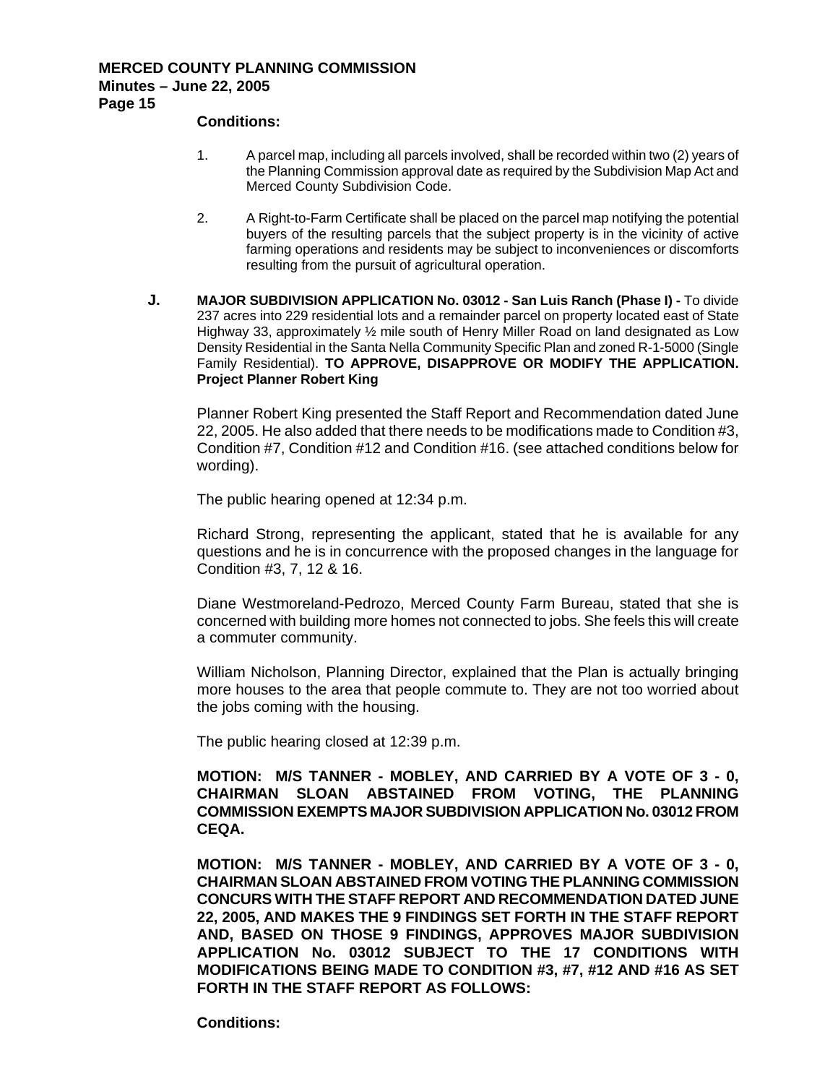#### **Conditions:**

- 1. A parcel map, including all parcels involved, shall be recorded within two (2) years of the Planning Commission approval date as required by the Subdivision Map Act and Merced County Subdivision Code.
- 2. A Right-to-Farm Certificate shall be placed on the parcel map notifying the potential buyers of the resulting parcels that the subject property is in the vicinity of active farming operations and residents may be subject to inconveniences or discomforts resulting from the pursuit of agricultural operation.
- **J. MAJOR SUBDIVISION APPLICATION No. 03012 San Luis Ranch (Phase I) To divide** 237 acres into 229 residential lots and a remainder parcel on property located east of State Highway 33, approximately ½ mile south of Henry Miller Road on land designated as Low Density Residential in the Santa Nella Community Specific Plan and zoned R-1-5000 (Single Family Residential). **TO APPROVE, DISAPPROVE OR MODIFY THE APPLICATION. Project Planner Robert King**

Planner Robert King presented the Staff Report and Recommendation dated June 22, 2005. He also added that there needs to be modifications made to Condition #3, Condition #7, Condition #12 and Condition #16. (see attached conditions below for wording).

The public hearing opened at 12:34 p.m.

Richard Strong, representing the applicant, stated that he is available for any questions and he is in concurrence with the proposed changes in the language for Condition #3, 7, 12 & 16.

Diane Westmoreland-Pedrozo, Merced County Farm Bureau, stated that she is concerned with building more homes not connected to jobs. She feels this will create a commuter community.

William Nicholson, Planning Director, explained that the Plan is actually bringing more houses to the area that people commute to. They are not too worried about the jobs coming with the housing.

The public hearing closed at 12:39 p.m.

**MOTION: M/S TANNER - MOBLEY, AND CARRIED BY A VOTE OF 3 - 0, CHAIRMAN SLOAN ABSTAINED FROM VOTING, THE PLANNING COMMISSION EXEMPTS MAJOR SUBDIVISION APPLICATION No. 03012 FROM CEQA.** 

**MOTION: M/S TANNER - MOBLEY, AND CARRIED BY A VOTE OF 3 - 0, CHAIRMAN SLOAN ABSTAINED FROM VOTING THE PLANNING COMMISSION CONCURS WITH THE STAFF REPORT AND RECOMMENDATION DATED JUNE 22, 2005, AND MAKES THE 9 FINDINGS SET FORTH IN THE STAFF REPORT AND, BASED ON THOSE 9 FINDINGS, APPROVES MAJOR SUBDIVISION APPLICATION No. 03012 SUBJECT TO THE 17 CONDITIONS WITH MODIFICATIONS BEING MADE TO CONDITION #3, #7, #12 AND #16 AS SET FORTH IN THE STAFF REPORT AS FOLLOWS:**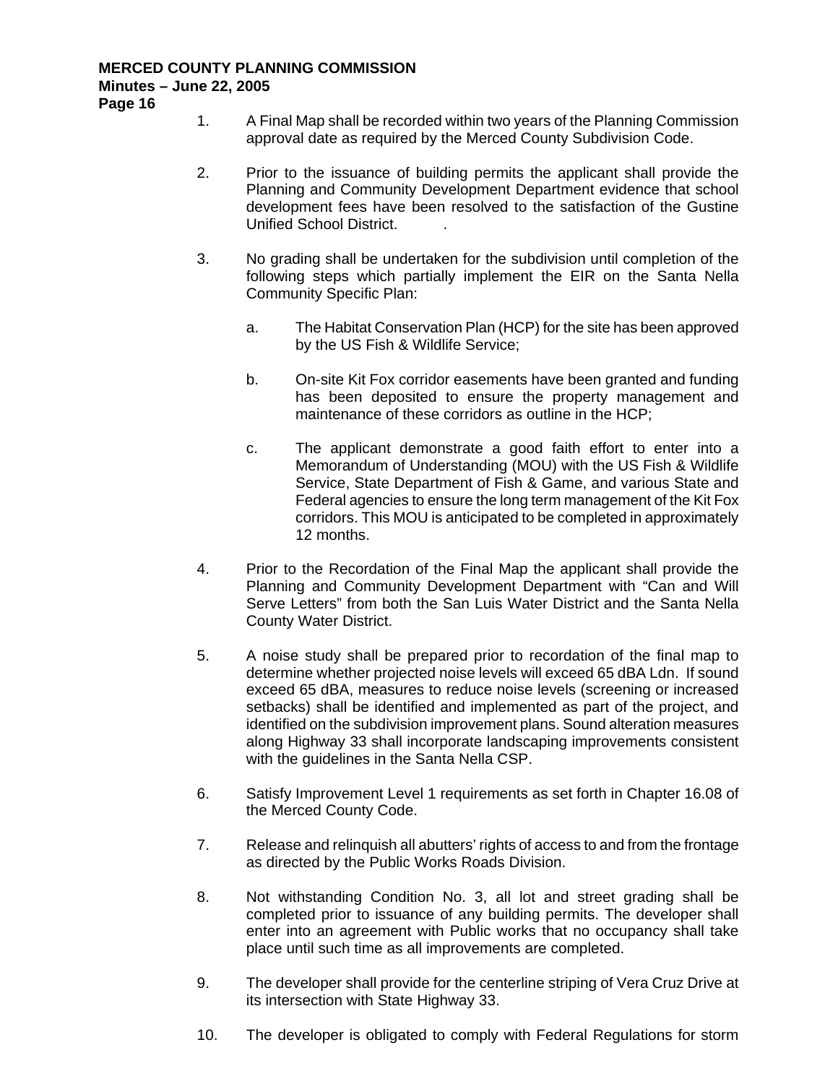- 1. A Final Map shall be recorded within two years of the Planning Commission approval date as required by the Merced County Subdivision Code.
- 2. Prior to the issuance of building permits the applicant shall provide the Planning and Community Development Department evidence that school development fees have been resolved to the satisfaction of the Gustine Unified School District. .
- 3. No grading shall be undertaken for the subdivision until completion of the following steps which partially implement the EIR on the Santa Nella Community Specific Plan:
	- a. The Habitat Conservation Plan (HCP) for the site has been approved by the US Fish & Wildlife Service;
	- b. On-site Kit Fox corridor easements have been granted and funding has been deposited to ensure the property management and maintenance of these corridors as outline in the HCP;
	- c. The applicant demonstrate a good faith effort to enter into a Memorandum of Understanding (MOU) with the US Fish & Wildlife Service, State Department of Fish & Game, and various State and Federal agencies to ensure the long term management of the Kit Fox corridors. This MOU is anticipated to be completed in approximately 12 months.
- 4. Prior to the Recordation of the Final Map the applicant shall provide the Planning and Community Development Department with "Can and Will Serve Letters" from both the San Luis Water District and the Santa Nella County Water District.
- 5. A noise study shall be prepared prior to recordation of the final map to determine whether projected noise levels will exceed 65 dBA Ldn. If sound exceed 65 dBA, measures to reduce noise levels (screening or increased setbacks) shall be identified and implemented as part of the project, and identified on the subdivision improvement plans. Sound alteration measures along Highway 33 shall incorporate landscaping improvements consistent with the guidelines in the Santa Nella CSP.
- 6. Satisfy Improvement Level 1 requirements as set forth in Chapter 16.08 of the Merced County Code.
- 7. Release and relinquish all abutters' rights of access to and from the frontage as directed by the Public Works Roads Division.
- 8. Not withstanding Condition No. 3, all lot and street grading shall be completed prior to issuance of any building permits. The developer shall enter into an agreement with Public works that no occupancy shall take place until such time as all improvements are completed.
- 9. The developer shall provide for the centerline striping of Vera Cruz Drive at its intersection with State Highway 33.
- 10. The developer is obligated to comply with Federal Regulations for storm